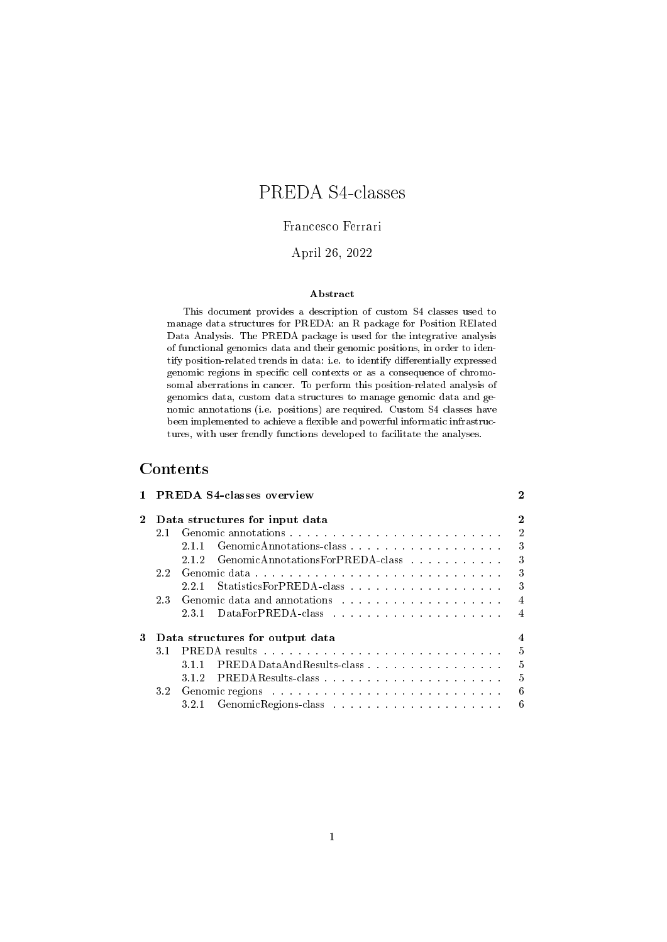# PREDA S4-classes

Francesco Ferrari

# April 26, 2022

#### Abstract

This document provides a description of custom S4 classes used to manage data structures for PREDA: an R package for Position RElated Data Analysis. The PREDA package is used for the integrative analysis of functional genomics data and their genomic positions, in order to identify position-related trends in data: i.e. to identify differentially expressed genomic regions in specific cell contexts or as a consequence of chromosomal aberrations in cancer. To perform this position-related analysis of genomics data, custom data structures to manage genomic data and genomic annotations (i.e. positions) are required. Custom S4 classes have been implemented to achieve a flexible and powerful informatic infrastructures, with user frendly functions developed to facilitate the analyses.

# Contents

|          | 1 PREDA S4-classes overview     |     |                                        |                |  |
|----------|---------------------------------|-----|----------------------------------------|----------------|--|
| $\bf{2}$ | Data structures for input data  |     |                                        |                |  |
|          | $2.1 -$                         |     |                                        | $\overline{2}$ |  |
|          |                                 | 211 | GenomicAnnotations-class               | 3              |  |
|          |                                 |     | 2.1.2 GenomicAnnotationsForPREDA-class | 3              |  |
|          | 2.2                             |     |                                        | 3              |  |
|          |                                 | 221 | StatisticsForPREDA-class               | 3              |  |
|          | 23                              |     |                                        | $\overline{4}$ |  |
|          |                                 |     |                                        | 4              |  |
| 3        | Data structures for output data |     |                                        |                |  |
|          | 3.1                             |     |                                        | $\overline{5}$ |  |
|          |                                 |     |                                        | $\overline{5}$ |  |
|          |                                 |     |                                        | 5              |  |
|          | 3.2                             |     |                                        |                |  |
|          |                                 |     |                                        | 6              |  |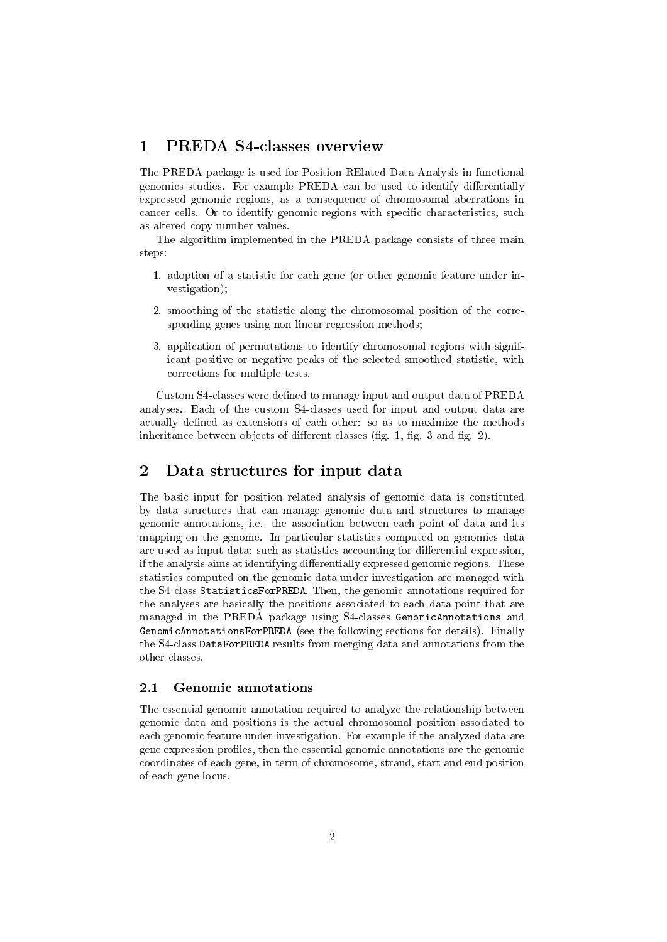# 1 PREDA S4-classes overview

The PREDA package is used for Position RElated Data Analysis in functional genomics studies. For example PREDA can be used to identify differentially expressed genomic regions, as a consequence of chromosomal aberrations in cancer cells. Or to identify genomic regions with specific characteristics, such as altered copy number values.

The algorithm implemented in the PREDA package consists of three main steps:

- 1. adoption of a statistic for each gene (or other genomic feature under investigation);
- 2. smoothing of the statistic along the chromosomal position of the corresponding genes using non linear regression methods;
- 3. application of permutations to identify chromosomal regions with significant positive or negative peaks of the selected smoothed statistic, with corrections for multiple tests.

Custom S4-classes were defined to manage input and output data of PREDA analyses. Each of the custom S4-classes used for input and output data are actually defined as extensions of each other: so as to maximize the methods inheritance between objects of different classes (fig. 1, fig. 3 and fig. 2).

# 2 Data structures for input data

The basic input for position related analysis of genomic data is constituted by data structures that can manage genomic data and structures to manage genomic annotations, i.e. the association between each point of data and its mapping on the genome. In particular statistics computed on genomics data are used as input data: such as statistics accounting for differential expression, if the analysis aims at identifying differentially expressed genomic regions. These statistics computed on the genomic data under investigation are managed with the S4-class StatisticsForPREDA. Then, the genomic annotations required for the analyses are basically the positions associated to each data point that are managed in the PREDA package using S4-classes GenomicAnnotations and GenomicAnnotationsForPREDA (see the following sections for details). Finally the S4-class DataForPREDA results from merging data and annotations from the other classes.

#### 2.1 Genomic annotations

The essential genomic annotation required to analyze the relationship between genomic data and positions is the actual chromosomal position associated to each genomic feature under investigation. For example if the analyzed data are gene expression profiles, then the essential genomic annotations are the genomic coordinates of each gene, in term of chromosome, strand, start and end position of each gene locus.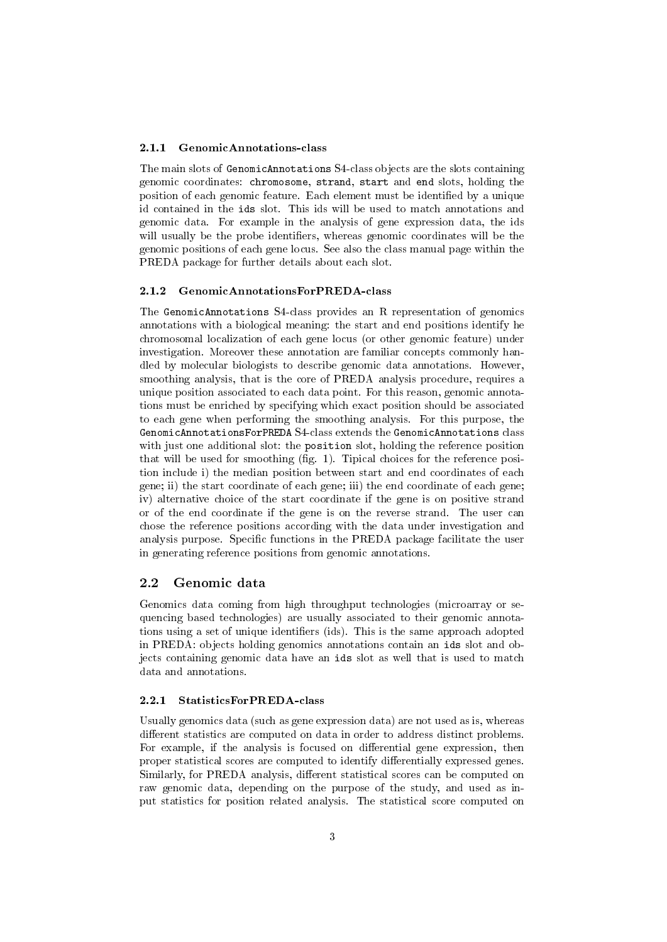#### 2.1.1 GenomicAnnotations-class

The main slots of GenomicAnnotations S4-class objects are the slots containing genomic coordinates: chromosome, strand, start and end slots, holding the position of each genomic feature. Each element must be identified by a unique id contained in the ids slot. This ids will be used to match annotations and genomic data. For example in the analysis of gene expression data, the ids will usually be the probe identifiers, whereas genomic coordinates will be the genomic positions of each gene locus. See also the class manual page within the PREDA package for further details about each slot.

#### 2.1.2 GenomicAnnotationsForPREDA-class

The GenomicAnnotations S4-class provides an R representation of genomics annotations with a biological meaning: the start and end positions identify he chromosomal localization of each gene locus (or other genomic feature) under investigation. Moreover these annotation are familiar concepts commonly handled by molecular biologists to describe genomic data annotations. However, smoothing analysis, that is the core of PREDA analysis procedure, requires a unique position associated to each data point. For this reason, genomic annotations must be enriched by specifying which exact position should be associated to each gene when performing the smoothing analysis. For this purpose, the GenomicAnnotationsForPREDA S4-class extends the GenomicAnnotations class with just one additional slot: the position slot, holding the reference position that will be used for smoothing (fig. 1). Tipical choices for the reference position include i) the median position between start and end coordinates of each gene; ii) the start coordinate of each gene; iii) the end coordinate of each gene; iv) alternative choice of the start coordinate if the gene is on positive strand or of the end coordinate if the gene is on the reverse strand. The user can chose the reference positions according with the data under investigation and analysis purpose. Specific functions in the PREDA package facilitate the user in generating reference positions from genomic annotations.

### 2.2 Genomic data

Genomics data coming from high throughput technologies (microarray or sequencing based technologies) are usually associated to their genomic annotations using a set of unique identifiers (ids). This is the same approach adopted in PREDA: objects holding genomics annotations contain an ids slot and objects containing genomic data have an ids slot as well that is used to match data and annotations.

#### 2.2.1 StatisticsForPREDA-class

Usually genomics data (such as gene expression data) are not used as is, whereas different statistics are computed on data in order to address distinct problems. For example, if the analysis is focused on differential gene expression, then proper statistical scores are computed to identify dierentially expressed genes. Similarly, for PREDA analysis, different statistical scores can be computed on raw genomic data, depending on the purpose of the study, and used as input statistics for position related analysis. The statistical score computed on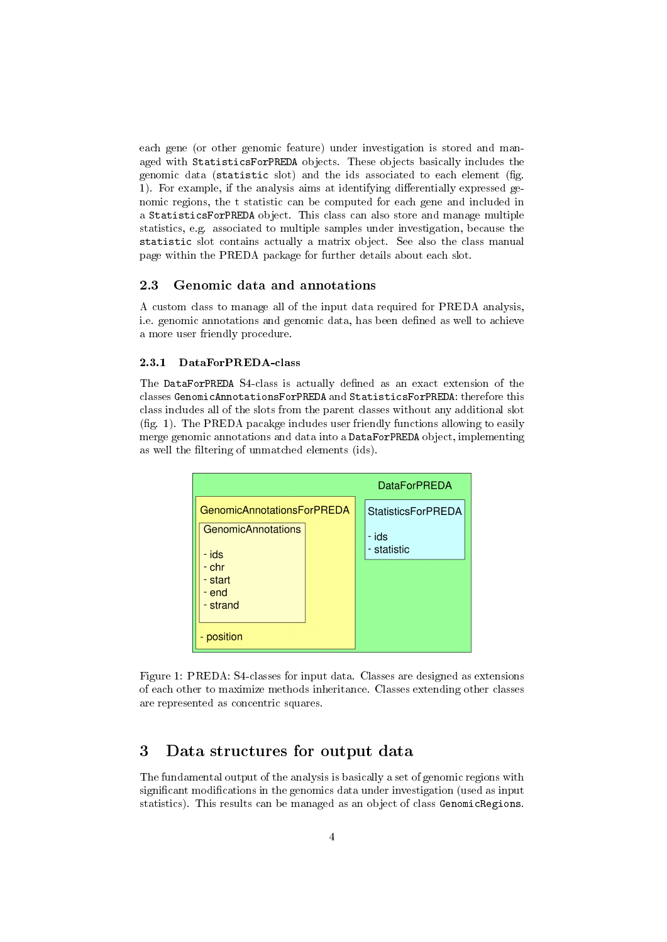each gene (or other genomic feature) under investigation is stored and managed with StatisticsForPREDA objects. These objects basically includes the genomic data (statistic slot) and the ids associated to each element (fig. 1). For example, if the analysis aims at identifying differentially expressed genomic regions, the t statistic can be computed for each gene and included in a StatisticsForPREDA object. This class can also store and manage multiple statistics, e.g. associated to multiple samples under investigation, because the statistic slot contains actually a matrix object. See also the class manual page within the PREDA package for further details about each slot.

### 2.3 Genomic data and annotations

A custom class to manage all of the input data required for PREDA analysis, i.e. genomic annotations and genomic data, has been defined as well to achieve a more user friendly procedure.

### 2.3.1 DataForPREDA-class

The DataForPREDA S4-class is actually defined as an exact extension of the classes GenomicAnnotationsForPREDA and StatisticsForPREDA: therefore this class includes all of the slots from the parent classes without any additional slot  $(fig. 1)$ . The PREDA pacakge includes user friendly functions allowing to easily merge genomic annotations and data into a DataForPREDA object, implementing as well the filtering of unmatched elements (ids).



Figure 1: PREDA: S4-classes for input data. Classes are designed as extensions of each other to maximize methods inheritance. Classes extending other classes are represented as concentric squares.

## 3 Data structures for output data

The fundamental output of the analysis is basically a set of genomic regions with significant modifications in the genomics data under investigation (used as input statistics). This results can be managed as an object of class GenomicRegions.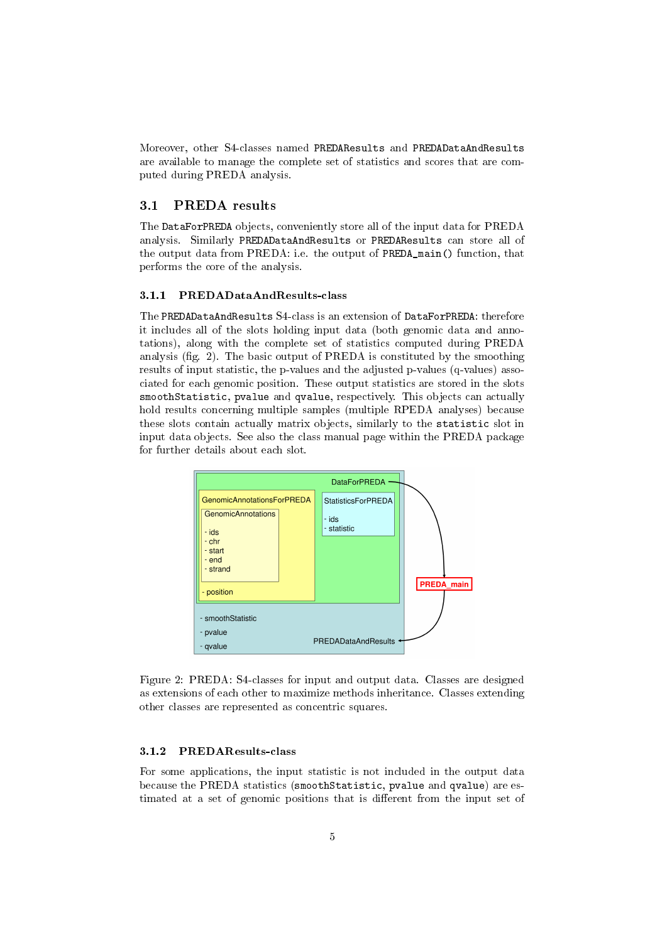Moreover, other S4-classes named PREDAResults and PREDADataAndResults are available to manage the complete set of statistics and scores that are computed during PREDA analysis.

### 3.1 PREDA results

The DataForPREDA objects, conveniently store all of the input data for PREDA analysis. Similarly PREDADataAndResults or PREDAResults can store all of the output data from PREDA: i.e. the output of PREDA\_main() function, that performs the core of the analysis.

#### 3.1.1 PREDADataAndResults-class

The PREDADataAndResults S4-class is an extension of DataForPREDA: therefore it includes all of the slots holding input data (both genomic data and annotations), along with the complete set of statistics computed during PREDA analysis (fig. 2). The basic output of PREDA is constituted by the smoothing results of input statistic, the p-values and the adjusted p-values (q-values) associated for each genomic position. These output statistics are stored in the slots smoothStatistic, pvalue and qvalue, respectively. This objects can actually hold results concerning multiple samples (multiple RPEDA analyses) because these slots contain actually matrix objects, similarly to the statistic slot in input data objects. See also the class manual page within the PREDA package for further details about each slot.



Figure 2: PREDA: S4-classes for input and output data. Classes are designed as extensions of each other to maximize methods inheritance. Classes extending other classes are represented as concentric squares.

### 3.1.2 PREDAResults-class

For some applications, the input statistic is not included in the output data because the PREDA statistics (smoothStatistic, pvalue and qvalue) are estimated at a set of genomic positions that is different from the input set of